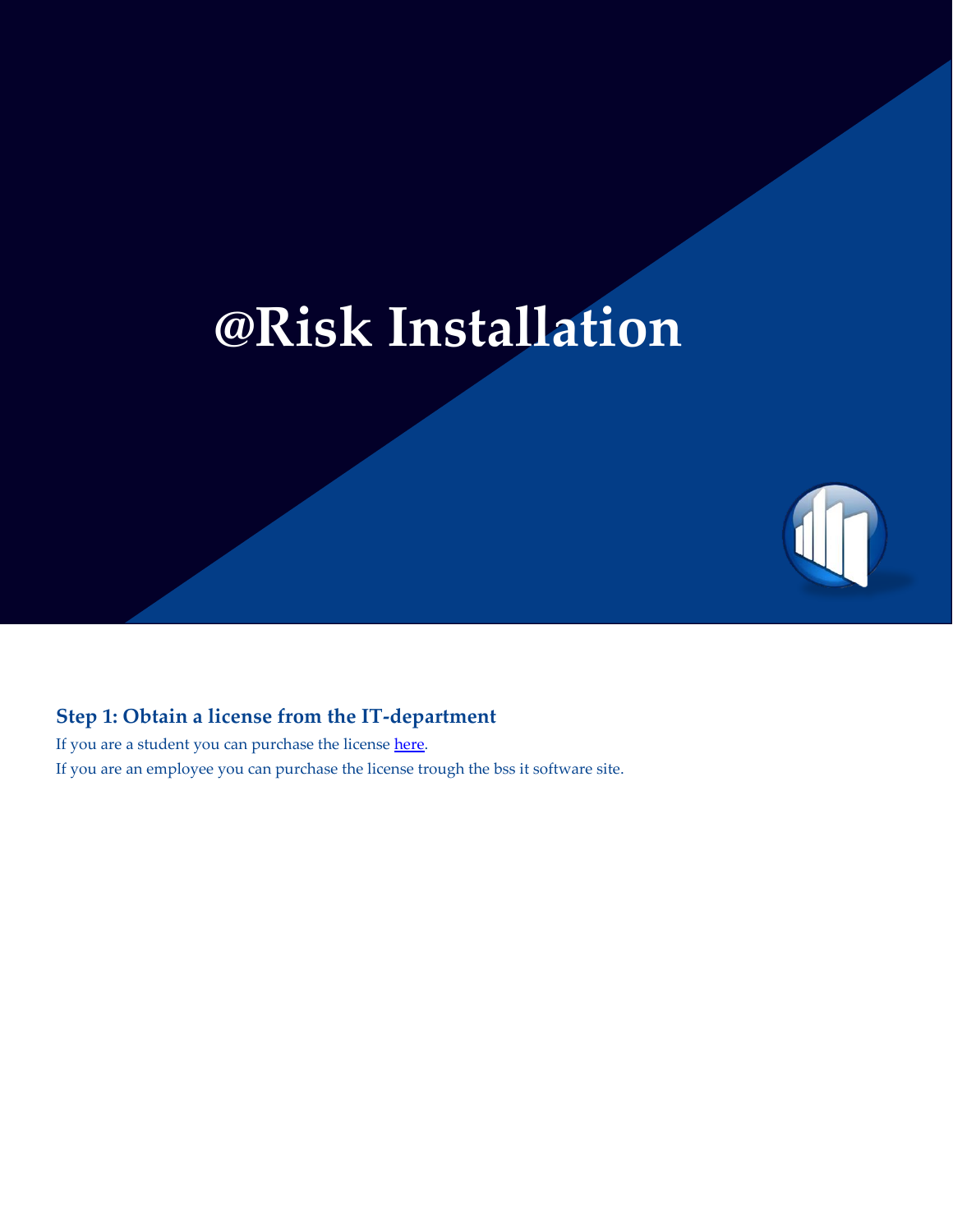# **@Risk Installation**



If you are a student you can purchase the license [here.](https://auws.au.dk/PurchaseLicense) If you are an employee you can purchase the license trough the bss it software site.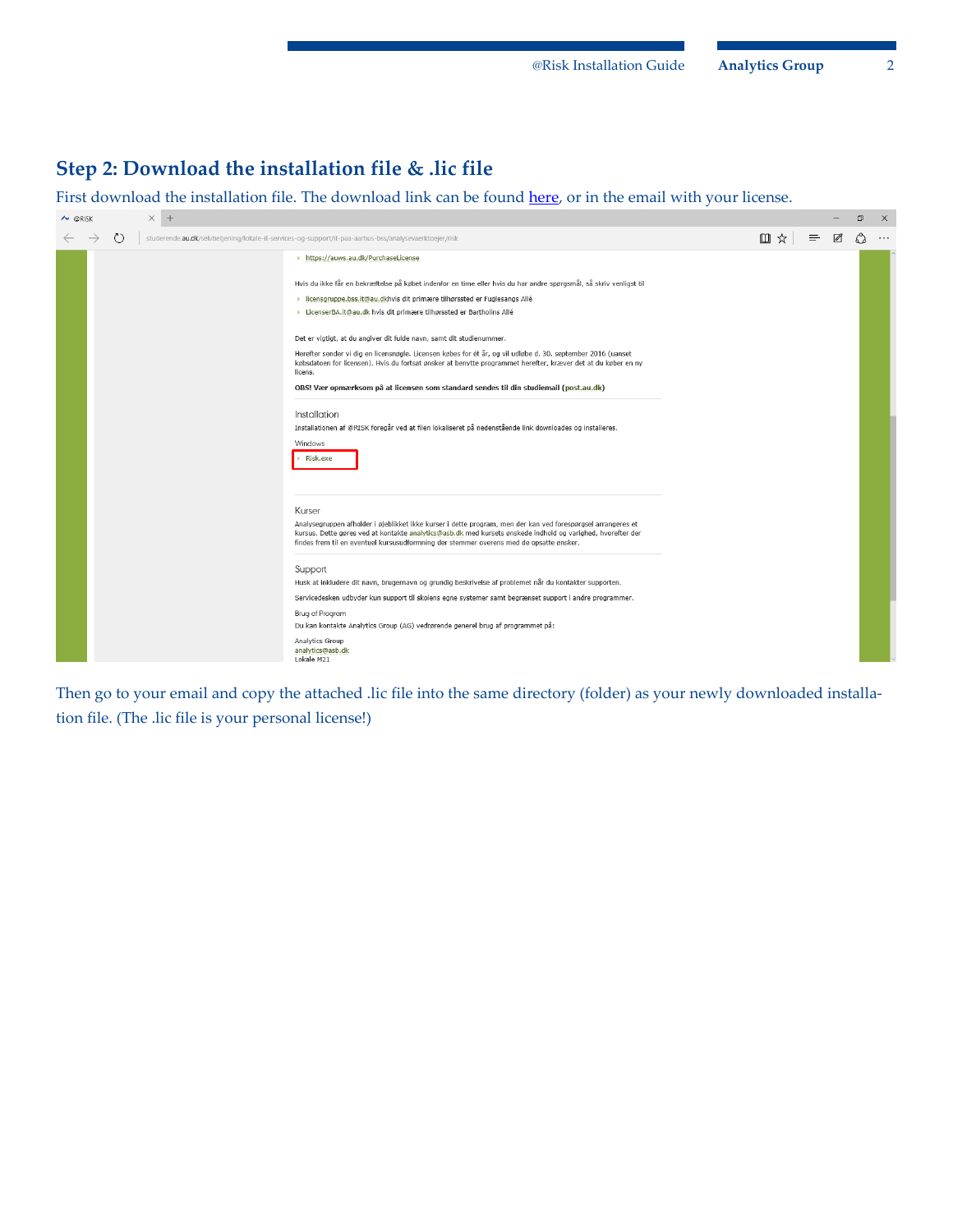## **Step 2: Download the installation file & .lic file**

First download the installation file. The download link can be found [here,](http://studerende.au.dk/selvbetjening/lokale-it-services-og-support/it-paa-aarhus-bss/analysevaerktoejer/risk/) or in the email with your license.

| $\times$ +<br>$\sim$ @RISK |                                                                                                                                                                                                                                                                                                                                                                                                                                                                                                                                                                                                                                                                                                                                                                                                                                                                                     |     |          |             | σ | $\times$ |
|----------------------------|-------------------------------------------------------------------------------------------------------------------------------------------------------------------------------------------------------------------------------------------------------------------------------------------------------------------------------------------------------------------------------------------------------------------------------------------------------------------------------------------------------------------------------------------------------------------------------------------------------------------------------------------------------------------------------------------------------------------------------------------------------------------------------------------------------------------------------------------------------------------------------------|-----|----------|-------------|---|----------|
| $\circ$                    | studerende.au.dk/selvbetjening/lokale-it-services-og-support/it-paa-aarhus-bss/analysevaerktoejer/risk                                                                                                                                                                                                                                                                                                                                                                                                                                                                                                                                                                                                                                                                                                                                                                              | Ⅲ ☆ | $\equiv$ | $\boxtimes$ |   | $\cdots$ |
|                            | > https://auws.au.dk/PurchaseLicense<br>Hvis du ikke får en bekræftelse på købet indenfor en time eller hvis du har andre spørgsmål, så skriv venligst til<br>> licensgruppe.bss.it@au.dkhvis dit primære tilhørssted er Fuglesangs Allé<br>> LicenserBA.it@au.dk hvis dit primære tilhørssted er Bartholins Allé<br>Det er vigtigt, at du angiver dit fulde navn, samt dit studienummer.<br>Herefter sender vi dig en licensnøgle. Licensen købes for ét år, og vil udløbe d. 30. september 2016 (uanset<br>købsdatoen for licensen). Hvis du fortsat ønsker at benytte programmet herefter, kræver det at du køber en ny<br>licens.<br>OBS! Vær opmærksom på at licensen som standard sendes til din studiemail (post.au.dk)<br>Installation<br>Installationen af @RISK foregår ved at filen lokaliseret på nedenstående link downloades og installeres.<br>Windows<br>> Risk.exe |     |          |             |   |          |
|                            | Kurser<br>Analysegruppen afholder i øjeblikket ikke kurser i dette program, men der kan ved forespørgsel arrangeres et<br>kursus. Dette gøres ved at kontakte analytics@asb.dk med kursets ønskede indhold og varighed, hvorefter der<br>findes frem til en eventuel kursusudformning der stemmer overens med de opsatte ønsker.<br>Support<br>Husk at inkludere dit navn, brugernavn og grundig beskrivelse af problemet når du kontakter supporten.<br>Servicedesken udbyder kun support til skolens egne systemer samt begrænset support i andre programmer.<br>Brug af Program<br>Du kan kontakte Analytics Group (AG) vedrørende generel brug af programmet på:<br>Analytics Group<br>analytics@asb.dk<br>Lokale M21                                                                                                                                                           |     |          |             |   |          |

Then go to your email and copy the attached .lic file into the same directory (folder) as your newly downloaded installation file. (The .lic file is your personal license!)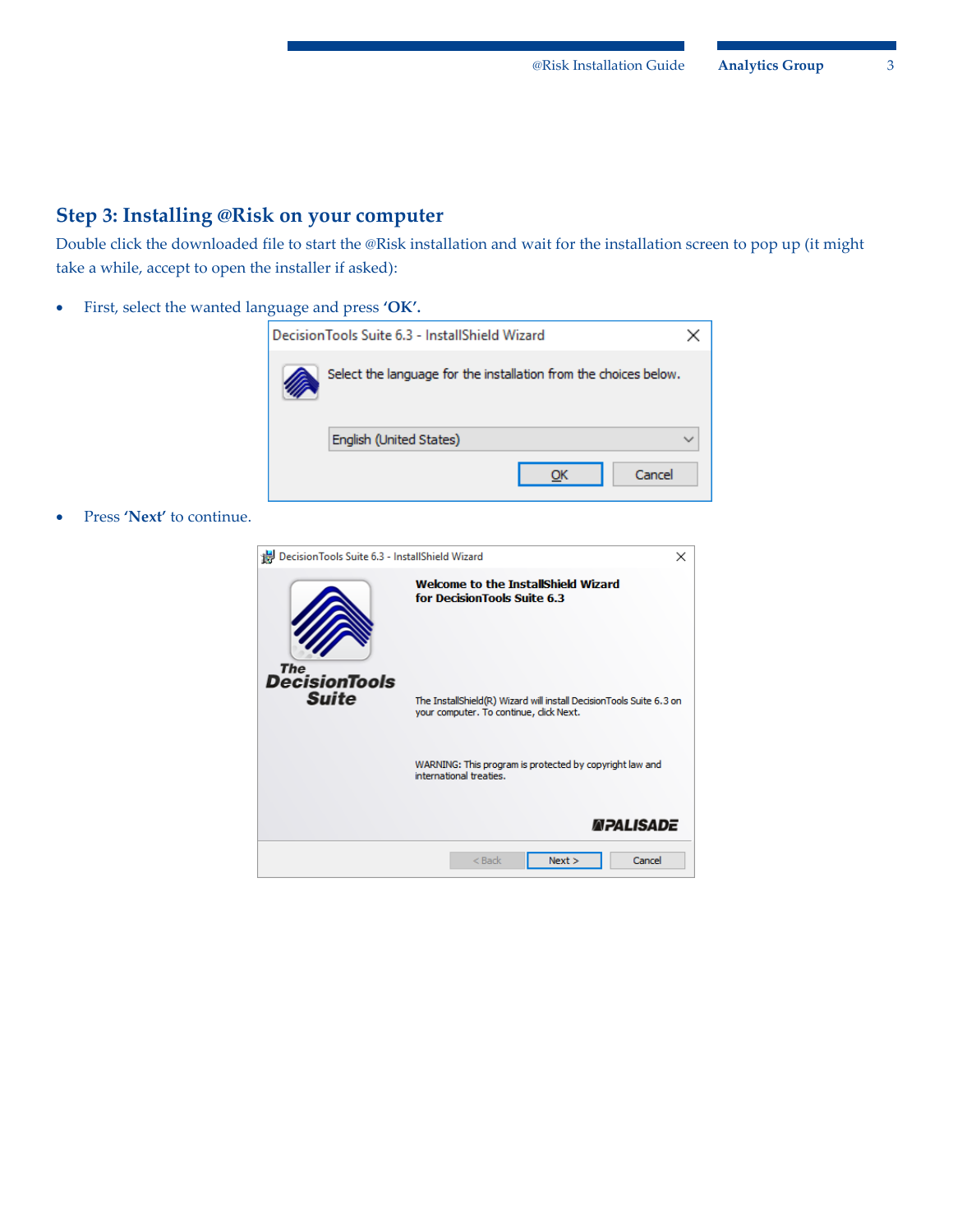### **Step 3: Installing @Risk on your computer**

Double click the downloaded file to start the @Risk installation and wait for the installation screen to pop up (it might take a while, accept to open the installer if asked):

First, select the wanted language and press **'OK'.**



Press **'Next'** to continue.

| Decision Tools Suite 6.3 - InstallShield Wizard | ×                                                                                                              |  |  |  |
|-------------------------------------------------|----------------------------------------------------------------------------------------------------------------|--|--|--|
| The                                             | <b>Welcome to the InstallShield Wizard</b><br>for DecisionTools Suite 6.3                                      |  |  |  |
| <b>DecisionTools</b><br><b>Suite</b>            | The InstallShield(R) Wizard will install DecisionTools Suite 6.3 on<br>your computer. To continue, click Next. |  |  |  |
|                                                 | WARNING: This program is protected by copyright law and<br>international treaties.                             |  |  |  |
|                                                 | <i><b>MPALISADE</b></i>                                                                                        |  |  |  |
|                                                 | Cancel<br>$<$ Back<br>Next                                                                                     |  |  |  |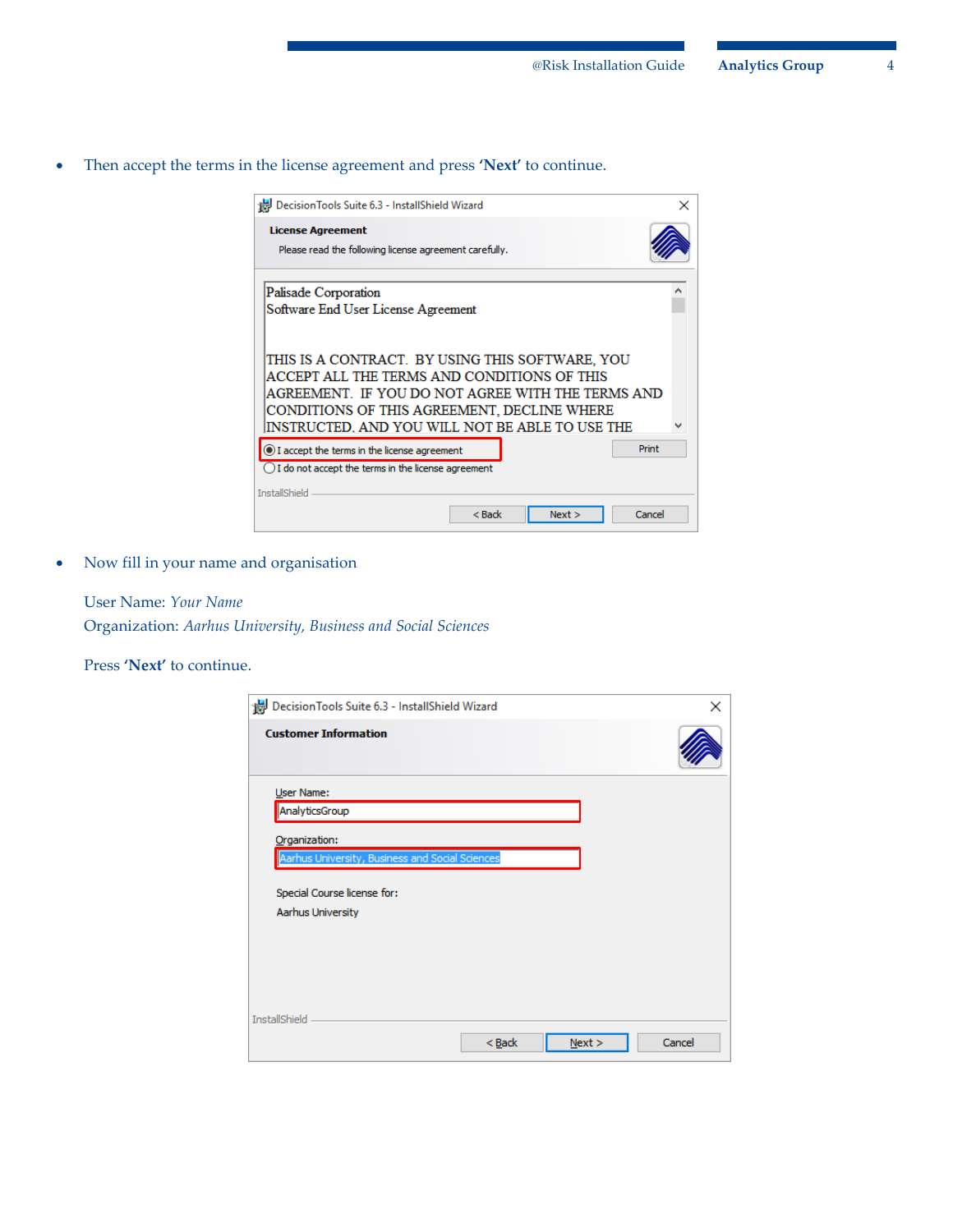Then accept the terms in the license agreement and press **'Next'** to continue.

| Decision Tools Suite 6.3 - InstallShield Wizard                                                                                                                                                                                                       | $\times$ |
|-------------------------------------------------------------------------------------------------------------------------------------------------------------------------------------------------------------------------------------------------------|----------|
| <b>License Agreement</b><br>Please read the following license agreement carefully.                                                                                                                                                                    |          |
| Palisade Corporation<br>Software End User License Agreement                                                                                                                                                                                           |          |
| THIS IS A CONTRACT. BY USING THIS SOFTWARE. YOU<br>ACCEPT ALL THE TERMS AND CONDITIONS OF THIS<br>AGREEMENT. IF YOU DO NOT AGREE WITH THE TERMS AND<br>CONDITIONS OF THIS AGREEMENT, DECLINE WHERE<br>INSTRUCTED. AND YOU WILL NOT BE ABLE TO USE THE |          |
| Print<br>I accept the terms in the license agreement<br>I do not accept the terms in the license agreement                                                                                                                                            |          |
| <b>InstallShield</b><br>Cancel<br>$<$ Back<br>Next                                                                                                                                                                                                    |          |

Now fill in your name and organisation

User Name: *Your Name* Organization: *Aarhus University, Business and Social Sciences*

Press **'Next'** to continue.

| Decision Tools Suite 6.3 - InstallShield Wizard |      | ×      |
|-------------------------------------------------|------|--------|
|                                                 |      |        |
|                                                 |      |        |
|                                                 |      |        |
|                                                 |      |        |
| Aarhus University, Business and Social Sciences |      |        |
|                                                 |      |        |
|                                                 |      |        |
|                                                 |      |        |
|                                                 |      |        |
|                                                 |      |        |
|                                                 |      |        |
| $<$ Back                                        | Next | Cancel |
|                                                 |      |        |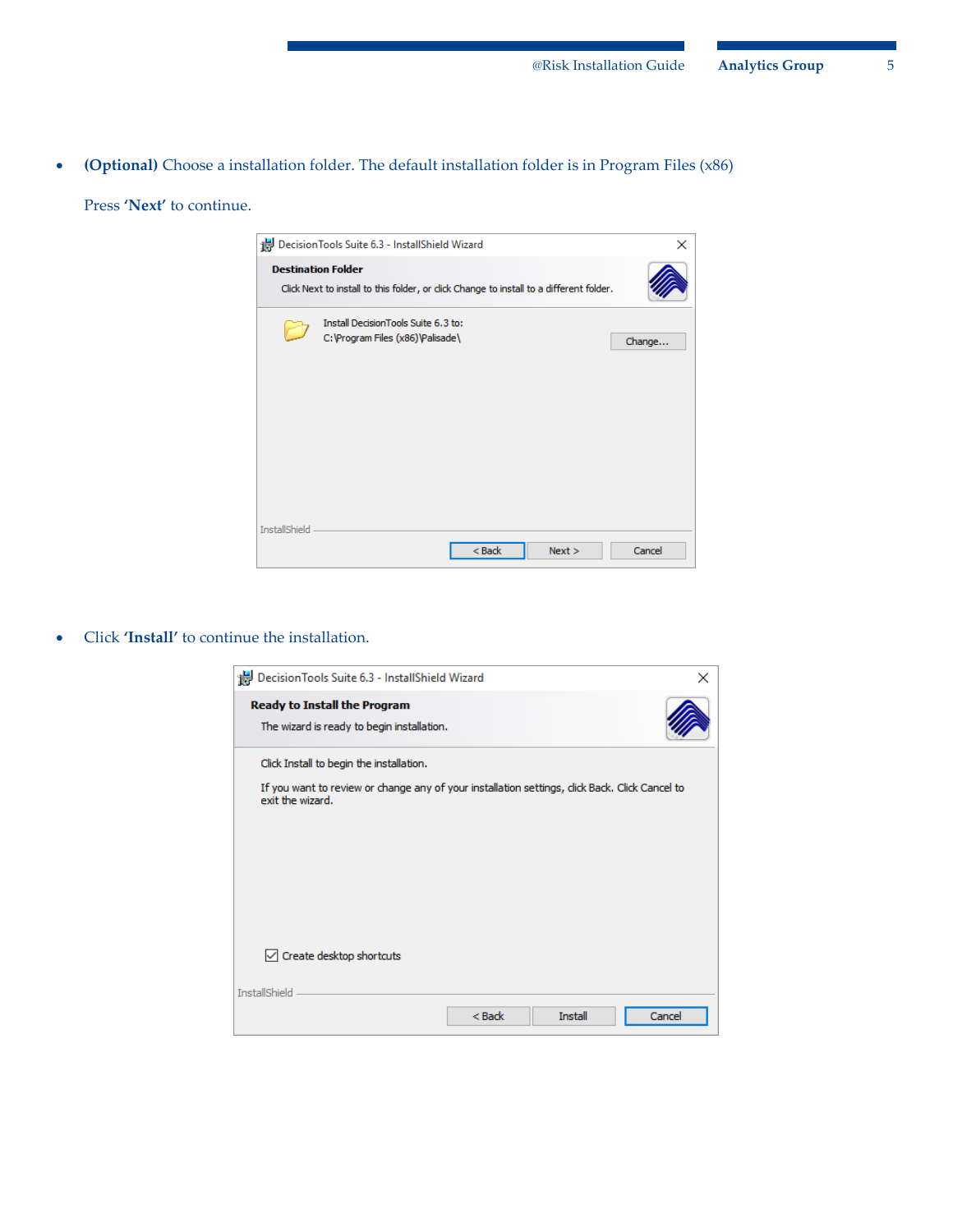**(Optional)** Choose a installation folder. The default installation folder is in Program Files (x86)

Press **'Next'** to continue.

|                      | Decision Tools Suite 6.3 - InstallShield Wizard                                                                      |          |      | ×      |
|----------------------|----------------------------------------------------------------------------------------------------------------------|----------|------|--------|
|                      | <b>Destination Folder</b><br>Click Next to install to this folder, or click Change to install to a different folder. |          |      |        |
|                      | Install DecisionTools Suite 6.3 to:<br>C: \Program Files (x86)\Palisade\                                             |          |      | Change |
| <b>InstallShield</b> |                                                                                                                      | $<$ Back | Next | Cancel |

Click **'Install'** to continue the installation.

| Decision Tools Suite 6.3 - InstallShield Wizard                                                                   |          |         | ×      |
|-------------------------------------------------------------------------------------------------------------------|----------|---------|--------|
| <b>Ready to Install the Program</b><br>The wizard is ready to begin installation.                                 |          |         |        |
| Click Install to begin the installation.                                                                          |          |         |        |
| If you want to review or change any of your installation settings, dick Back. Click Cancel to<br>exit the wizard. |          |         |        |
|                                                                                                                   |          |         |        |
|                                                                                                                   |          |         |        |
|                                                                                                                   |          |         |        |
|                                                                                                                   |          |         |        |
| $\vee$ Create desktop shortcuts                                                                                   |          |         |        |
| <b>InstallShield</b>                                                                                              |          |         |        |
|                                                                                                                   | $<$ Back | Install | Cancel |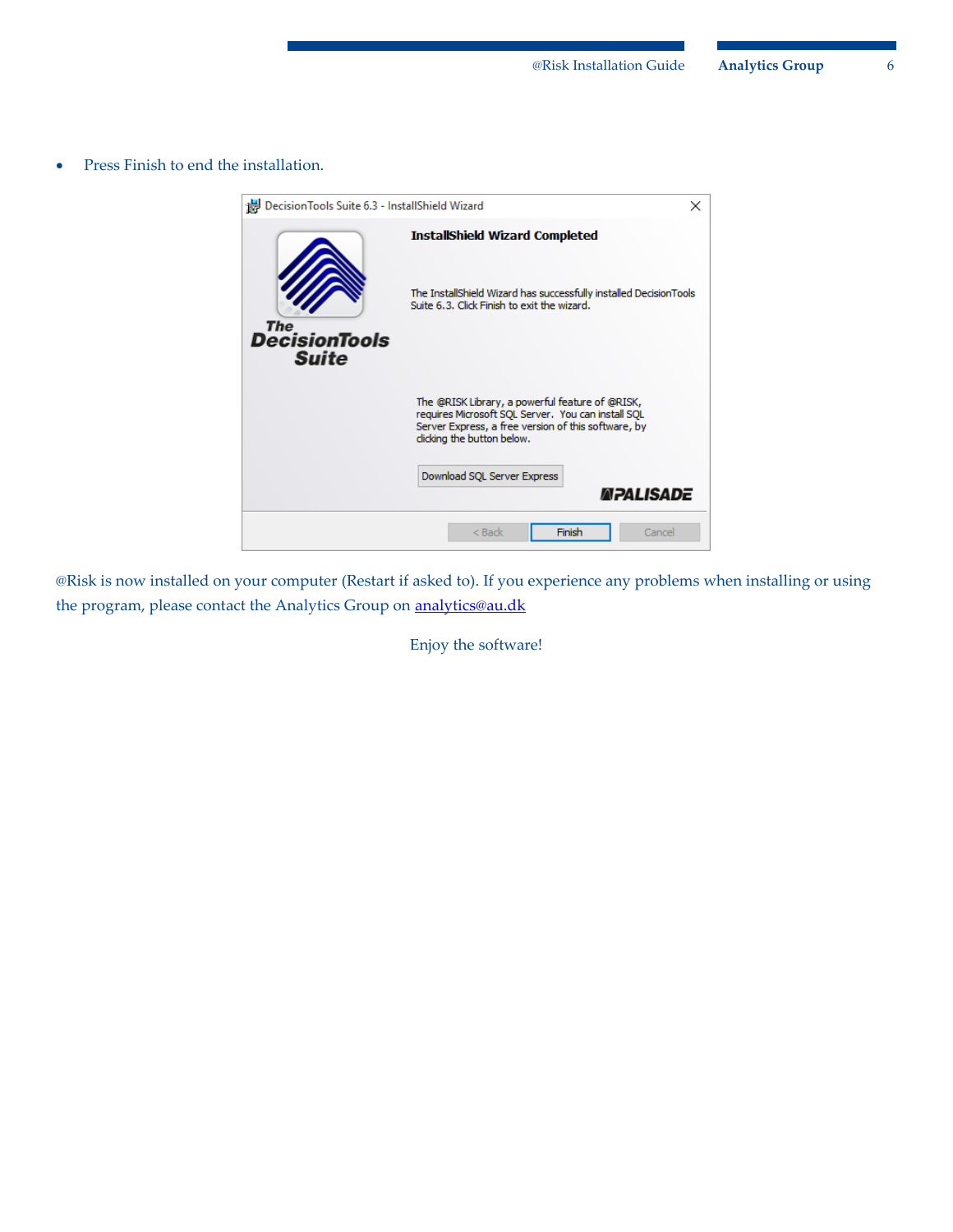• Press Finish to end the installation.



@Risk is now installed on your computer (Restart if asked to). If you experience any problems when installing or using the program, please contact the Analytics Group on **analytics@au.dk** 

Enjoy the software!